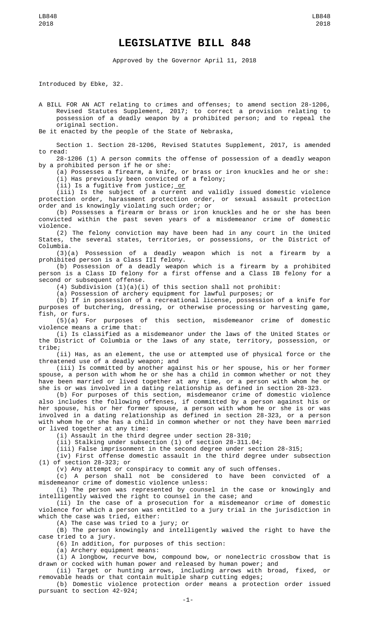## **LEGISLATIVE BILL 848**

Approved by the Governor April 11, 2018

Introduced by Ebke, 32.

A BILL FOR AN ACT relating to crimes and offenses; to amend section 28-1206, Revised Statutes Supplement, 2017; to correct a provision relating to possession of a deadly weapon by a prohibited person; and to repeal the original section.

Be it enacted by the people of the State of Nebraska,

Section 1. Section 28-1206, Revised Statutes Supplement, 2017, is amended to read:

28-1206 (1) A person commits the offense of possession of a deadly weapon by a prohibited person if he or she:

(a) Possesses a firearm, a knife, or brass or iron knuckles and he or she: (i) Has previously been convicted of a felony;

(ii) Is a fugitive from justice; or

(iii) Is the subject of a current and validly issued domestic violence protection order, harassment protection order, or sexual assault protection order and is knowingly violating such order; or

(b) Possesses a firearm or brass or iron knuckles and he or she has been convicted within the past seven years of a misdemeanor crime of domestic violence.

(2) The felony conviction may have been had in any court in the United States, the several states, territories, or possessions, or the District of Columbia.

(3)(a) Possession of a deadly weapon which is not a firearm by a prohibited person is a Class III felony.

(b) Possession of a deadly weapon which is a firearm by a prohibited person is a Class ID felony for a first offense and a Class IB felony for a second or subsequent offense.

(4) Subdivision  $(1)(a)(i)$  of this section shall not prohibit:

(a) Possession of archery equipment for lawful purposes; or

(b) If in possession of a recreational license, possession of a knife for purposes of butchering, dressing, or otherwise processing or harvesting game, fish, or furs.

(5)(a) For purposes of this section, misdemeanor crime of domestic violence means a crime that:

(i) Is classified as a misdemeanor under the laws of the United States or the District of Columbia or the laws of any state, territory, possession, or tribe;

(ii) Has, as an element, the use or attempted use of physical force or the threatened use of a deadly weapon; and

(iii) Is committed by another against his or her spouse, his or her former spouse, a person with whom he or she has a child in common whether or not they have been married or lived together at any time, or a person with whom he or she is or was involved in a dating relationship as defined in section 28-323.

(b) For purposes of this section, misdemeanor crime of domestic violence also includes the following offenses, if committed by a person against his or her spouse, his or her former spouse, a person with whom he or she is or was involved in a dating relationship as defined in section 28-323, or a person with whom he or she has a child in common whether or not they have been married or lived together at any time:

(i) Assault in the third degree under section 28-310;

(ii) Stalking under subsection (1) of section 28-311.04;

(iii) False imprisonment in the second degree under section 28-315;

(iv) First offense domestic assault in the third degree under subsection (1) of section 28-323; or

(v) Any attempt or conspiracy to commit any of such offenses.

(c) A person shall not be considered to have been convicted of a misdemeanor crime of domestic violence unless:

(i) The person was represented by counsel in the case or knowingly and intelligently waived the right to counsel in the case; and

(ii) In the case of a prosecution for a misdemeanor crime of domestic violence for which a person was entitled to a jury trial in the jurisdiction in which the case was tried, either:

(A) The case was tried to a jury; or

(B) The person knowingly and intelligently waived the right to have the case tried to a jury.

(6) In addition, for purposes of this section:

(a) Archery equipment means:

(i) A longbow, recurve bow, compound bow, or nonelectric crossbow that is drawn or cocked with human power and released by human power; and

(ii) Target or hunting arrows, including arrows with broad, fixed, or removable heads or that contain multiple sharp cutting edges;

(b) Domestic violence protection order means a protection order issued pursuant to section 42-924;